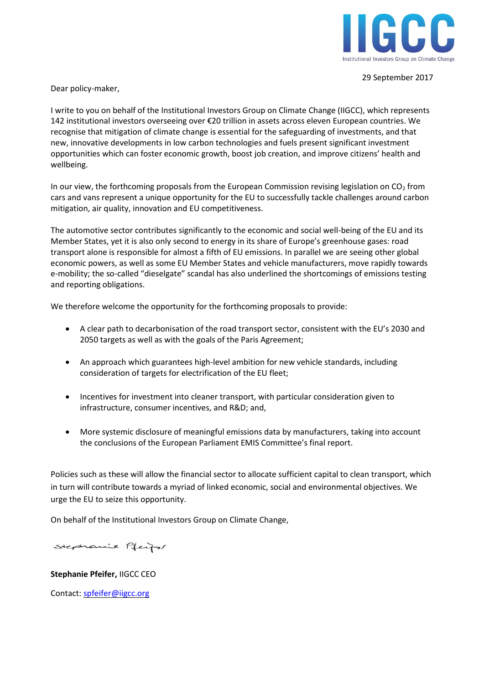

29 September 2017

Dear policy-maker,

I write to you on behalf of the Institutional Investors Group on Climate Change (IIGCC), which represents 142 institutional investors overseeing over €20 trillion in assets across eleven European countries. We recognise that mitigation of climate change is essential for the safeguarding of investments, and that new, innovative developments in low carbon technologies and fuels present significant investment opportunities which can foster economic growth, boost job creation, and improve citizens' health and wellbeing.

In our view, the forthcoming proposals from the European Commission revising legislation on  $CO<sub>2</sub>$  from cars and vans represent a unique opportunity for the EU to successfully tackle challenges around carbon mitigation, air quality, innovation and EU competitiveness.

The automotive sector contributes significantly to the economic and social well-being of the EU and its Member States, yet it is also only second to energy in its share of Europe's greenhouse gases: road transport alone is responsible for almost a fifth of EU emissions. In parallel we are seeing other global economic powers, as well as some EU Member States and vehicle manufacturers, move rapidly towards e-mobility; the so-called "dieselgate" scandal has also underlined the shortcomings of emissions testing and reporting obligations.

We therefore welcome the opportunity for the forthcoming proposals to provide:

- A clear path to decarbonisation of the road transport sector, consistent with the EU's 2030 and 2050 targets as well as with the goals of the Paris Agreement;
- An approach which guarantees high-level ambition for new vehicle standards, including consideration of targets for electrification of the EU fleet;
- Incentives for investment into cleaner transport, with particular consideration given to infrastructure, consumer incentives, and R&D; and,
- More systemic disclosure of meaningful emissions data by manufacturers, taking into account the conclusions of the European Parliament EMIS Committee's final report.

Policies such as these will allow the financial sector to allocate sufficient capital to clean transport, which in turn will contribute towards a myriad of linked economic, social and environmental objectives. We urge the EU to seize this opportunity.

On behalf of the Institutional Investors Group on Climate Change,

Stephanie Pfeife

**Stephanie Pfeifer,** IIGCC CEO

Contact: [spfeifer@iigcc.org](mailto:spfeifer@iigcc.org)